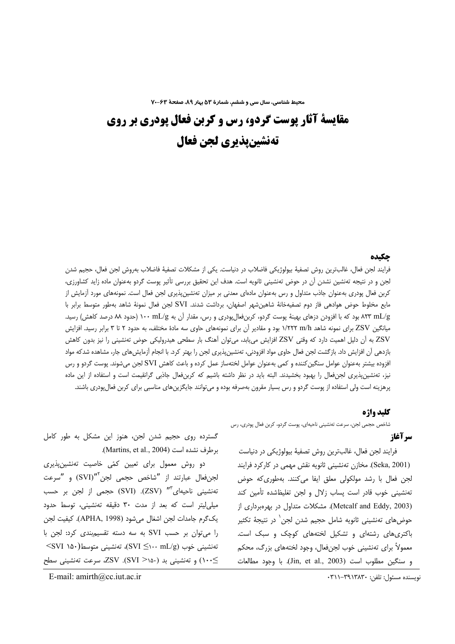محیط شناسی، سال سی و ششم، شمارهٔ ۵۳ بهار ۸۹، صفحهٔ ۶۳-۷۰

# مقايسة آثار يوست گردو، رس و کربن فعال يودري بر روي تهنشينيذيري لجن فعال

# جكىدە

فرایند لجن فعال، غالبترین روش تصفیهٔ بیولوژیکی فاضلاب در دنیاست. یکی از مشکلات تصفیهٔ فاضلاب بهروش لجن فعال، حجیم شدن لجن و در نتیجه تهنشین نشدن آن در حوض تهنشینی ثانویه است. هدف این تحقیق بررسی تأثیر پوست گردو بهعنوان ماده زاید كشاورزی، کربن فعال پودری بهعنوان جاذب متداول و رس بهعنوان مادهای معدنی بر میزان تهنشین،پذیری لجن فعال است. نمونههای مورد ازمایش از مايع مخلوط حوض هوادهى فاز دوم تصفيهخانة شاهين شهر اصفهان، برداشت شدند. SVI لجن فعال نمونة شاهد بهطور متوسط برابر با ۸۲۳ mL/g بود که با افزودن دزهای بهینهٔ پوست گردو، کربنِفعالِپودری و رس، مقدار آن به mL/g ۱۰۰ (حدود ۸۸ درصد کاهش) رسید. میانگین ZSV برای نمونه شاهد ۱/۲۲۲ m/h بود و مقادیر آن برای نمونههای حاوی سه مادهٔ مختلف، به حدود ۲ تا ۳ برابر رسید. افزایش ZSV به أن دليل اهميت دارد كه وقتى ZSV افزايش مىيابد، مىتوان أهنگ بار سطحى هيدروليكى حوض تەنشينى را نيز بدون كاهش بازدهی آن افزایش داد. بازگشت لجن فعال حاوی مواد افزودنی، تەنشین,پذیری لجن را بهتر کرد. با انجام آزمایشهای جار، مشاهده شدکه مواد افزوده بیشتر بهعنوان عوامل سنگین کننده و کمی بهعنوان عوامل لختهساز عمل کرده و باعث کاهش SVI لجن میشوند. پوست گردو و رس نیز، تهنشینپذیری لجنفعال را بهبود بخشیدند. البته باید در نظر داشته باشیم که کربنفعال جاذبی گرانقیمت است و استفاده از این ماده پرهزینه است ولی استفاده از پوست گردو و رس بسیار مقرون بهصرفه بوده و می¤وانند جایگزینهای مناسبی برای کربن فعال ٍودری باشند.

### كليد واژه

شاخص حجمی لجن، سرعت تەنشینی ناحیەای، پوست گردو، کربن فعال پودری، رس

# سرآغاز

فرایند لجن فعال، غالبترین روش تصفیهٔ بیولوژیکی در دنیاست (Seka, 2001). مخازن تەنشینی ثانویه نقش مهمی در کارکرد فرایند لجن فعال با رشد مولكولى معلق ايفا مى كنند. بهطورى كه حوض تهنشینی خوب قادر است پساب زلال و لجن تغلیظشده تأمین کند (Metcalf and Eddy, 2003). مشکلات متداول در بهرهبرداری از حوضهای تەنشینی ثانویه شامل حجیم شدن لجن ٰ در نتیجهٔ تکثیر باکتری های رشتهای و تشکیل لختههای کوچک و سبک است. معمولاً برای تەنشینی خوب لجنفعال، وجود لختەھای بزرگ، محکم و سنگين مطلوب است (Jin, et al., 2003). با وجود مطالعات

نويسنده مسئول: تلفن: ٣٩١٣٨٣٠-٢١١

گسترده روی حجیم شدن لجن، هنوز این مشکل به طور کامل برطرف نشده است (Martins, et al., 2004).

دو روش معمول برای تعیین کمّی خاصیت تەنشین،پذیری لجنفعال عبارتند از "شاخص حجمي لجن<sup>"</sup>"(SVI) و "سرعت تەنشینی ناحیەای"" (ZSV). (SVI) حجمی از لجن بر حسب میلی لیتر است که بعد از مدت ۳۰ دقیقه تهنشینی، توسط حدود يك گرم جامدات لجن اشغال مي شود (APHA, 1998). كيفيت لجن را می توان بر حسب SVI به سه دسته تقسیم بندی کرد: لجن با تەنشىنى خوب (SVI ≦۱۰۰ mL/g)، تەنشىنى متوسط(۱۵۰ SVI≻ ≥۱۰۰) و تهنشینی بد (۱۵۰< SVI). ZSV، سرعت تهنشینی سطح

E-mail:  $amirth@cc. iut.ac. ir$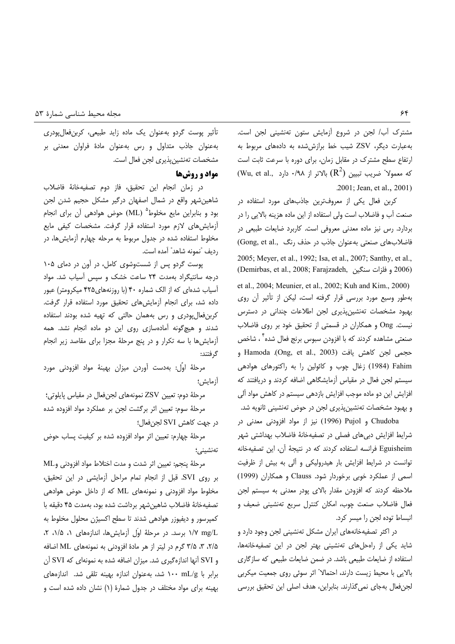مشترک آب/ لجن در شروع آزمایش ستون تهنشینی لجن است. به عبارت دیگر، ZSV شیب خط برازش شده به دادههای مربوط به ارتفاع سطح مشترک در مقابل زمان، برای دوره با سرعت ثابت است (Wu, et al., که معمولا" ضریب تبیین  $(\mathrm{R}^2)$  بالاتر از ۰/۹۸ دارد .2001; Jean, et al., 2001)

کربن فعال یکی از معروفترین جاذبهای مورد استفاده در صنعت آب و فاضلاب است ولی استفاده از این ماده هزینه بالایی را در بردارد. رس نیز ماده معدنی معروفی است. کاربرد ضایعات طبیعی در فاضلابهای صنعتی بهعنوان جاذب در حذف رنگ (Gong, et al., 2005; Meyer, et al., 1992; Isa, et al., 2007; Santhy, et al., (Demirbas, et al., 2008; Farajzadeh, و فلزات سنگين (Demirbas, et al., 2008; Farajzadeh, et al., 2004; Meunier, et al., 2002; Kuh and Kim., 2000) بهطور وسیع مورد بررسی قرار گرفته است، لیکن از تأثیر آن روی بهبود مشخصات تهنشینپذیری لجن اطلاعات چندانی در دسترس نیست. Ong و همکاران در قسمتی از تحقیق خود بر روی فاضلاب صنعتی مشاهده کردند که با افزودن سبوس برنج فعال شده ٔ ، شاخص و Hamoda .(Ong, et al., 2003) حجمى لجن كاهش يافت Fahim (1984) زغال چوب و كائولين را به راكتورهاى هوادهى سیستم لجن فعال در مقیاس آزمایشگاهی اضافه کردند و دریافتند که افزایش این دو ماده موجب افزایش بازدهی سیستم در کاهش مواد آلی و بهبود مشخصات تەنشین پذیری لجن در حوض تەنشینی ثانویه شد.

Chudoba و Pujol) نیز از مواد افزودنی معدنی در شرایط افزایش دبیهای فصلی در تصفیهخانهٔ فاضلاب بهداشتی شهر Eguisheim فرانسه استفاده كردند كه در نتيجة آن، اين تصفيهخانه توانست در شرایط افزایش بار هیدرولیکی و آلی به بیش از ظرفیت اسمی از عملکرد خوبی برخوردار شود. Clauss و همکاران (1999) ملاحظه کردند که افزودن مقدار بالای پودر معدنی به سیستم لجن فعال فاضلاب صنعت چوب، امكان كنترل سريع تهنشيني ضعيف و انبساط توده لجن را ميسر كرد.

در اکثر تصفیهخانههای ایران مشکل تهنشینی لجن وجود دارد و شاید یکی از راهحل های تهنشینی بهتر لجن در این تصفیهخانهها، استفاده از ضایعات طبیعی باشد. در ضمن ضایعات طبیعی که سازگاری بالايي با محيط زيست دارند، احتمالا" اثر سوئي روى جمعيت ميكربي لجنفعال بهجاي نمي گذارند. بنابراين، هدف اصلي اين تحقيق بررسي

تأثیر پوست گردو بهعنوان یک ماده زاید طبیعی، کربن فعال پودری بهعنوان جاذب متداول و رس بهعنوان مادهٔ فراوان معدنی بر مشخصات تهنشين پذيرى لجن فعال است.

# مواد و روشها

در زمان انجام این تحقیق، فاز دوم تصفیهخانهٔ فاضلاب شاهین شهر واقع در شمال اصفهان درگیر مشکل حجیم شدن لجن بود و بنابراین مایع مخلوط<sup>ه</sup> (ML) حوض هوادهی آن برای انجام آزمایش های لازم مورد استفاده قرار گرفت. مشخصات کیفی مایع مخلوط استفاده شده در جدول مربوط به مرحله چهارم آزمایش ها، در رديف "نمونه شاهد" آمده است.

پوست گردو پس از شستوشوی کامل، در آون در دمای ۱۰۵ درجه سانتیگراد بهمدت ۲۴ ساعت خشک و سپس آسیاب شد. مواد آسیاب شدهای که از الک شماره ۴۰ (با روزنههای۴۲۵ میکرومتر) عبور داده شد، برای انجام آزمایش های تحقیق مورد استفاده قرار گرفت. کربنفعال پودری و رس بههمان حالتی که تهیه شده بودند استفاده شدند و هیچگونه آمادهسازی روی این دو ماده انجام نشد. همه أزمايشها با سه تكرار و در پنج مرحلهٔ مجزا براى مقاصد زير انجام گر فتند:

مرحلهٔ اؤل: بهدست آوردن میزان بهینهٔ مواد افزودنی مورد آزمایش؛

مرحلهٔ دوم: تعیین ZSV نمونههای لجنفعال در مقیاس پایلوتی؛ مرحلهٔ سوم: تعیین اثر برگشت لجن بر عملکرد مواد افزوده شده در جهت كاهش SVI لجن فعال:

مرحلهٔ چهارم: تعیین اثر مواد افزوده شده بر کیفیت پساب حوض تەنشىنى؛

مرحلة پنجم: تعيين اثر شدت و مدت اختلاط مواد افزودني وML بر روى SVI. قبل از انجام تمام مراحل أزمايشى در اين تحقيق، مخلوط مواد افزودنی و نمونههای ML که از داخل حوض هوادهی تصفيهخانة فاضلاب شاهين شهر برداشت شده بود، بهمدت ۴۵ دقيقه با كمپرسور و ديفيوزر هوادهي شدند تا سطح اكسيژن محلول مخلوط به . ١/٧ mg/L برسد. در مرحلة اوّل آزمايش ها، اندازههاى ١، ١/٥، ٢، ۲/۵، ۳، ۳/۵ گرم در لیتر از هر مادهٔ افزودنی به نمونههای ML اضافه و SVI آنها اندازهگیری شد. میزان اضافه شده به نمونهای که SVI آن برابر با nL/g ۱۰۰ شد، به عنوان اندازه بهینه تلقی شد. اندازههای بهینه برای مواد مختلف در جدول شمارهٔ (۱) نشان داده شده است و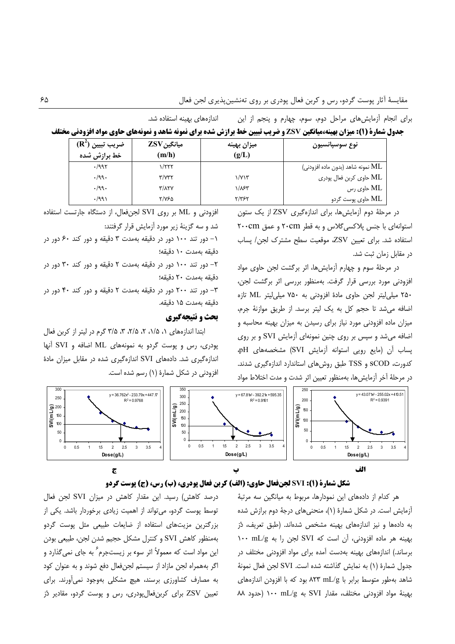| <b>جدول شمارة (1): ميزان بهينه،ميانگين ZSV و ضريب تبيين خط برازش شده براي نمونه شاهد و نمونههاي حاوي مواد افزودني مختلف</b> |  |                                                           |
|-----------------------------------------------------------------------------------------------------------------------------|--|-----------------------------------------------------------|
| اندازههای بهینه استفاده شد.                                                                                                 |  | برای انجام اَزمایشهای مراحل دوم، سوم، چهارم و پنجم از این |

| $(\mathbf{R}^2)$ ضريب تبيين<br>خط برازش شده | ميانگين ZSV<br>(m/h)              | ميزان بهينه<br>(g/L) | نوع سوسپانسيون                   |
|---------------------------------------------|-----------------------------------|----------------------|----------------------------------|
| .1997                                       | ۱/۲۲۲                             |                      | نمونه شاهد (بدون ماده افزودني) ( |
| .199.                                       | $\mathbf{r}/\mathbf{v}\mathbf{r}$ | ۱/۷۱۳                | ML حاوي كربن فعال پودري          |
| .199.                                       | <b>٣/٨٢٧</b>                      | ۱/۸۶۳                | - ML حاوی رس                     |
| .7991                                       | ۲/۷۶۵                             | ۲/۳۶۲                | ML حاوی پوست گردو                |

در مرحلهٔ دوم آزمایشها، برای اندازهگیری ZSV از یک ستون استوانهای با جنس پلاکسی گلاس و به قطر ۲۰cm و عمق ۲۰۰cm استفاده شد. برای تعیین ZSV، موقعیت سطح مشترک لجن/ یساب در مقابل زمان ثبت شد.

در مرحلهٔ سوم و چهارم آزمایش ها، اثر برگشت لجن حاوی مواد افزودنی مورد بررسی قرار گرفت. بهمنظور بررسی اثر برگشت لجن، ۲۵۰ میلی لیتر لجن حاوی مادهٔ افزودنی به ۷۵۰ میلی لیتر ML تازه اضافه می شد تا حجم کل به یک لیتر برسد. از طریق موازنهٔ جرم، میزان ماده افزودنی مورد نیاز برای رسیدن به میزان بهینه محاسبه و اضافه می شد و سیس بر روی چنین نمونهای آزمایش SVI و بر روی یساب آن (مایع روپی استوانه آزمایش SVI) مشخصههای pH، کدورت، SCOD و TSS طبق روش های استاندارد اندازهگیری شدند. در مرحلهٔ آخر آزمایش ها، بهمنظور تعیین اثر شدت و مدت اختلاط مواد

افزودنی و ML بر روی SVI لجنفعال، از دستگاه جارتست استفاده شد و سه گزینهٔ زیر مورد آزمایش قرار گرفتند:

۱– دور تند ۱۰۰ دور در دقیقه بهمدت ۳ دقیقه و دور کند ۶۰ دور در دقيقه بەمدت ١٠ دقيقه؛

۲- دور تند ۱۰۰ دور در دقیقه بهمدت ۲ دقیقه و دور کند ۳۰ دور در دقيقه بەمدت ٢٠ دقيقه؛

۳- دور تند ۲۰۰ دور در دقیقه بهمدت ۲ دقیقه و دور کند ۴۰ دور در دقيقه بەمدت ١۵ دقيقه.

#### بحث و نتیجهگیری

ابتدا اندازههای ۱، ۱/۵، ۲، ۲/۵، ۳، ۳/۵ گرم در لیتر از کربن فعال پودری، رس و پوست گردو به نمونههای ML اضافه و SVI آنها اندازهگیری شد. دادههای SVI اندازهگیری شده در مقابل میزان مادهٔ افزودنی در شکل شمارهٔ (۱) رسم شده است.





هر کدام از دادههای این نمودارها، مربوط به میانگین سه مرتبهٔ آزمایش است. در شکل شمارهٔ (۱)، منحنیهای درجهٔ دوم برازش شده به دادهها و نیز اندازههای بهینه مشخص شدهاند. (طبق تعریف، دُر بهينه هر ماده افزودني، أن است كه SVI لجن را به ١٠٠ ١٠٠ برساند.) اندازههای بهینه بهدست آمده برای مواد افزودنی مختلف در جدول شمارة (١) به نمايش گذاشته شده است. SVI لجن فعال نمونة شاهد بهطور متوسط برابر با A۲۳ mL/g بود که با افزودن اندازههای بهينة مواد افزودني مختلف، مقدار SVI به nL/g (حدود ٨٨

درصد كاهش) رسيد. اين مقدار كاهش در ميزان SVI لجن فعال توسط پوست گردو، میتواند از اهمیت زیادی برخوردار باشد. یکی از بزرگترین مزیتهای استفاده از ضایعات طبیعی مثل پوست گردو بهمنظور كاهش SVI و كنترل مشكل حجيم شدن لجن، طبيعي بودن این مواد است که معمولاً اثر سوء بر زیستجرم ؑ به جای نمی گذارد و اگر بههمراه لجن مازاد از سیستم لجنفعال دفع شوند و به عنوان کود به مصارف کشاورزی برسند، هیچ مشکلی بهوجود نمی آورند. برای تعیین ZSV برای کربنفعالپودری، رس و پوست گردو، مقادیر دُرّ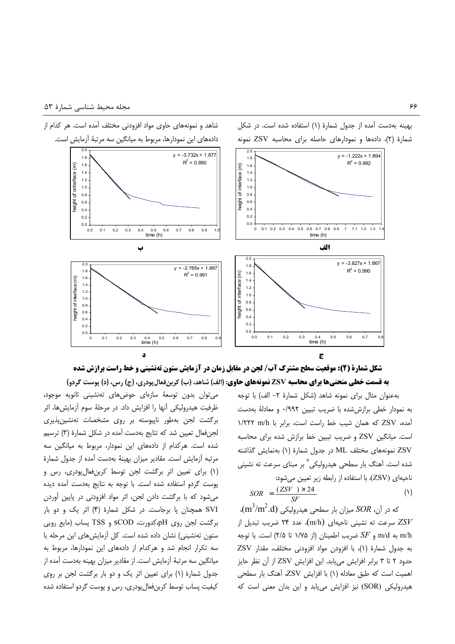





به عنوان مثال براي نمونه شاهد (شكل شمارة ٢– الف) با توجه به نمودار خطی برازش شده با ضریب تبیین ۰/۹۹۲ و معادلهٔ بهدست آمده، ZSV كه همان شيب خط راست است، برابر با ۱/۲۲۲ m/h است. میانگین ZSV و ضریب تبیین خط برازش شده برای محاسبه نمونههای مختلف ML در جدول شمارهٔ (۱) بهنمایش گذاشته شده است. آهنگ بار سطحی هیدرولیکی<sup>۷</sup> بر مبنای سرعت ته نشینی ناحیهای (ZSV)، با استفاده از رابطه زیر تعیین میشود:

بهینه بهدست آمده از جدول شمارهٔ (۱) استفاده شده است. در شکل

$$
SOR = \frac{(ZSV) \times 24}{SF}
$$
 (1)

 $\sim$ که در آن،  $SOR$  میزان بار سطحی هیدرولیکی  $( \text{m}^2/\text{m}^2 \text{.d} )$ اسرعت ته نشینی ناحیهای (m/h)، عدد ۲۴ ضریب تبدیل از T به m/d به S $F$  و  $S$ 5 ضريب اطمينان (از ۱/۷۵ تا ۲/۵) است. با توجه به جدول شمارهٔ (۱)، با افزودن مواد افزودنی مختلف، مقدار ZSV حدود ۲ تا ۳ برابر افزایش می یابد. این افزایش ZSV از آن نظر حایز اهمیت است که طبق معادله (۱) با افزایش ZSV، آهنگ بار سطحی هیدرولیکی (SOR) نیز افزایش مییابد و این بدان معنی است که

می توان بدون توسعهٔ سازهای حوضهای تهنشینی ثانویه موجود، ظرفیت هیدرولیکی آنها را افزایش داد. در مرحلهٔ سوم آزمایشها، اثر برگشت لجن بهطور ناپیوسته بر روی مشخصات تهنشینپذیری جنفعال تعيين شد كه نتايج بهدست آمده در شكل شمارهٔ (۳) ترسيم j شده است. هركدام از دادههای این نمودار، مربوط به میانگین سه مرتبه آزمایش است. مقادیر میزان بهینهٔ بهدست آمده از جدول شمارهٔ (۱) برای تعیین اثر برگشت لجن توسط کربنفعالپودری، رس و پوست گردو استفاده شده است. با توجه به نتایج بهدست آمده دیده میشود که با برگشت دادن لجن، اثر مواد افزودنی در پایین آوردن SVI همچنان یا برجاست. در شکل شمارهٔ (۴) اثر یک و دو بار برگشت لجن روی pH،کدورت، SCOD و TSS پساب (مایع رویی ستون تهنشینی) نشان داده شده است. کل آزمایش های این مرحله با سه تكرار انجام شد و هركدام از دادههای این نمودارها، مربوط به میانگین سه مرتبهٔ آزمایش است. از مقادیر میزان بهینه بهدست آمده از جدول شمارهٔ (۱) برای تعیین اثر یک و دو بار برگشت لجن بر روی کیفیت پساب توسط کربنفعالپودری، رس و پوست گردو استفاده شده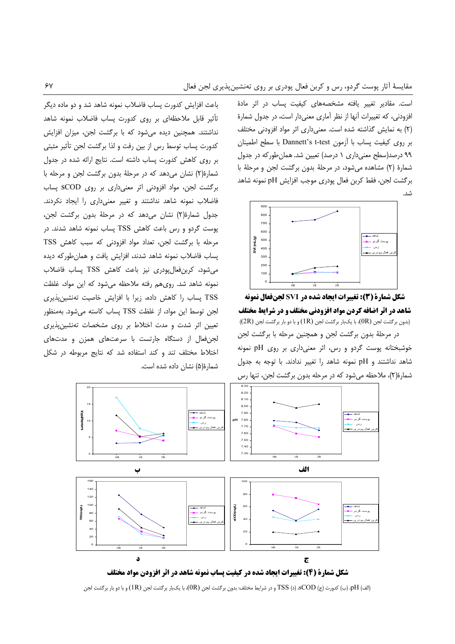است. مقادیر تغییر یافته مشخصههای کیفیت پساب در اثر مادهٔ افزودنی، که تغییرات آنها از نظر آماری معنیدار است، در جدول شمارهٔ (٢) به نمایش گذاشته شده است. معنی داری اثر مواد افزودنی مختلف بر روى كيفيت پساب با آزمون Dannett's t-test با سطح اطمينان ۹۹ درصد(سطح معنی داری ۱ درصد) تعیین شد. همان طور که در جدول شمارهٔ (۲) مشاهده می شود، در مرحلهٔ بدون برگشت لجن و مرحلهٔ با بركشت لجن، فقط كربن فعال پودرى موجب افزايش pH نمونه شاهد شد.



شکل شمارة (3): تغییرات ایجاد شده در SVI لجنفعال نمونه شاهد در اثر اضافه کردن مواد افزودنی مختلف و در شرایط مختلف (بدون بركشت لجن (OR)، با يكبار بركشت لجن (1R) و با دو بار بركشت لجن (2R) در مرحلهٔ بدون برگشت لجن و همچنین مرحله با برگشت لجن خوشبختانه پوست گردو و رس، اثر معنیداری بر روی pH نمونه شاهد نداشتند و pH نمونه شاهد را تغییر ندادند. با توجه به جدول شمارهٔ(۲)، ملاحظه می شود که در مرحله بدون برگشت لجن، تنها رس

باعث افزایش کدورت پساب فاضلاب نمونه شاهد شد و دو ماده دیگر تأثیر قابل ملاحظهای بر روی کدورت پساب فاضلاب نمونه شاهد نداشتند. همچنین دیده می شود که با برگشت لجن، میزان افزایش كدورت پساب توسط رس از بين رفت و لذا برگشت لجن تأثير مثبتي بر روی کاهش کدورت پساب داشته است. نتایج ارائه شده در جدول شمارهٔ(۲) نشان می دهد که در مرحلهٔ بدون برگشت لجن و مرحله با برگشت لجن، مواد افزودنی اثر معنیداری بر روی SCOD پساب فاضلاب نمونه شاهد نداشتند و تغییر معنیداری را ایجاد نکردند. جدول شمارهٔ(۲) نشان می دهد که در مرحلهٔ بدون برگشت لجن، پوست گردو و رس باعث کاهش TSS پساب نمونه شاهد شدند. در مرحله با برگشت لجن، تعداد مواد افزودنی که سبب کاهش TSS پساب فاضلاب نمونه شاهد شدند، افزایش یافت و همانطورکه دیده میشود، کربنفعالپودری نیز باعث کاهش TSS پساب فاضلاب نمونه شاهد شد. روی هم رفته ملاحظه میشود که این مواد، غلظت TSS پساب را کاهش داده، زیرا با افزایش خاصیت تهنشینپذیری لجن توسط این مواد، از غلظت TSS پساب کاسته میشود. بهمنظور تعیین اثر شدت و مدت اختلاط بر روی مشخصات تهنشین پذیری لجن فعال از دستگاه جارتست با سرعتهای همزن و مدتهای اختلاط مختلف تند و كند استفاده شد كه نتايج مربوطه در شكل شمارهٔ(۵) نشان داده شده است.



(الف) pH، (ب) كدورت (ج) S $\rm{COD}$  (د)  $\rm{TSS}$  و در شرايط مختلف: بدون برگشت لجن  $\rm{(0R)}$ )، با يك $\rm{_{V}}$ ار برگشت لجن (pH ) و با دو بار برگشت لجن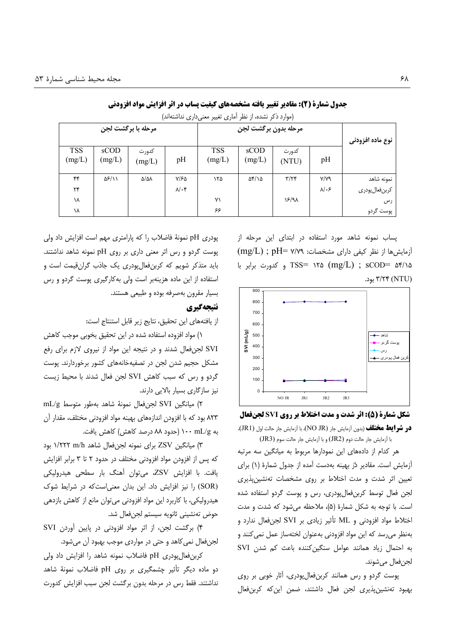| مرحله با برگشت لجن   |                |                        | مرحله بدون برگشت لجن |                      |                   |                | نوع ماده افزودنی  |                 |
|----------------------|----------------|------------------------|----------------------|----------------------|-------------------|----------------|-------------------|-----------------|
| <b>TSS</b><br>(mg/L) | sCOD<br>(mg/L) | كدورت<br>(mg/L)        | pH                   | <b>TSS</b><br>(mg/L) | sCOD<br>(mg/L)    | كدورت<br>(NTU) | pH                |                 |
| ۴۴                   | ۵۶/۱۱          | $\Delta/\Delta\lambda$ | Y/FQ                 | ۱۲۵                  | $\Delta f/\Delta$ | $\tau/\tau$    | Y/Y9              | نمونه شاهد      |
| $\mathbf{r}$         |                |                        | $\lambda/\cdot$ ۴    |                      |                   |                | $\lambda/\cdot$ ۶ | كربن فعال پودرى |
| ١٨                   |                |                        |                      | ٧١                   |                   | 18/91          |                   | رس              |
| ١٨                   |                |                        |                      | ۶۶                   |                   |                |                   | پوست گردو       |

جدول شمارة (2): مقادير تغيير يافته مشخصههاي كيفيت يساب در اثر افزايش مواد افزودني

(موارد ذکر نشده، از نظر آماری تغییر معنی داری نداشتهاند)

یساب نمونه شاهد مورد استفاده در ابتدای این مرحله از  $(mg/L)$ ; pH= Y/Y٩ أزمايش ها از نظر كيفي داراي مشخصات: mg/L) ; pH= Y/Y٩  $\sim$  TSS= ۱۲۵ (mg/L); sCOD= ۵۴/۱۵ ۳/۲۴ (NTU) بود.



شکل شمارة (5): اثر شدت و مدت اختلاط بر روی SVI لجنفعال **در شرایط مختلف** (بدون آزمایش جار (NO JR)، با آزمایش جار حالت اول (JR1)، با آزمایش جار حالت دوم (JR2) و با آزمایش جار حالت سوم (JR3)

هر کدام از دادههای این نمودارها مربوط به میانگین سه مرتبه آزمایش است. مقادیر دُرّ بهینه بهدست آمده از جدول شمارهٔ (۱) برای تعیین اثر شدت و مدت اختلاط بر روی مشخصات تهنشینپذیری لجن فعال توسط کربن فعال یودری، رس و یوست گردو استفاده شده است. با توجه به شکل شمارهٔ (۵)، ملاحظه می شود که شدت و مدت اختلاط مواد افزودنی و ML تأثیر زیادی بر SVI لجن فعال ندارد و بەنظر می,رسد که این مواد افزودنی بەعنوان لختەساز عمل نمی کنند و به احتمال زیاد همانند عوامل سنگین *کننده* باعث کم شدن SVI لجن فعال مے شوند.

پوست گردو و رس همانند کربنفعال پودری، آثار خوبی بر روی بهبود تهنشين پذيرى لجن فعال داشتند، ضمن اين كه كربن فعال

پودری pH نمونهٔ فاضلاب را که پارامتری مهم است افزایش داد ولی پوست گردو و رس اثر معنی داری بر روی pH نمونه شاهد نداشتند. باید متذکر شویم که کربنفعال بودری یک جاذب گرانقیمت است و استفاده از این ماده هزینهبر است ولی به کارگیری پوست گردو و رس بسیار مقرون بهصرفه بوده و طبیعی هستند.

#### نتىچەگىرى

از يافتههاى اين تحقيق، نتايج زير قابل استنتاج است:

۱) مواد افزوده استفاده شده در این تحقیق بخوبی موجب کاهش SVI لجنفعال شدند و در نتیجه این مواد از نیروی لازم برای رفع مشکل حجیم شدن لجن در تصفیهخانههای کشور برخوردارند. پوست گردو و رس که سبب کاهش SVI لجن فعال شدند با محیط زیست نیز سازگاری بسیار بالایی دارند.

٢) ميانگين SVI لجنفعال نمونة شاهد بهطور متوسط mL/g ۸۲۳ بود که با افزودن اندازههای بهینه مواد افزودنی مختلف، مقدار آن به ۱۰۰ mL/g (حدود ۸۸ درصد کاهش) کاهش یافت.

٣) میانگین ZSV برای نمونه لجنفعال شاهد ١/٢٢٢ m/h بود كه پس از افزودن مواد افزودنى مختلف در حدود ٢ تا ٣ برابر افزايش یافت. با افزایش ZSV، می توان آهنگ بار سطحی هیدرولیکی (SOR) را نیز افزایش داد. این بدان معنی است که در شرایط شوک هیدرولیکی، با کاربرد این مواد افزودنی میتوان مانع از کاهش بازدهی حوض تەنشينى ثانويە سيستم لجنفعال شد.

۴) برگشت لجن، از اثر مواد افزودنی در پایین آوردن SVI لجنفعال نمي كاهد و حتى در مواردى موجب بهبود أن مى شود.

كربن فعال پودرى pH فاضلاب نمونه شاهد را افزايش داد ولى دو ماده دیگر تأثیر چشمگیری بر روی pH فاضلاب نمونهٔ شاهد نداشتند. فقط رس در مرحله بدون برگشت لجن سبب افزایش کدورت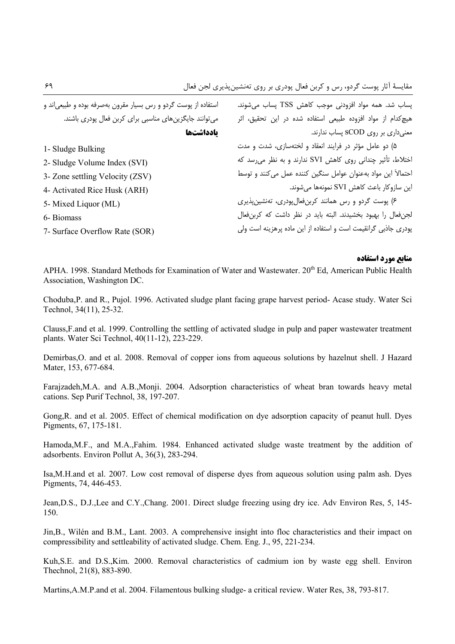| استفاده از پوست گردو و رس بسیار مقرون بهصرفه بوده و طبیعیاند و | پساب شد. همه مواد افزودنی موجب کاهش TSS پساب میشوند.           |
|----------------------------------------------------------------|----------------------------------------------------------------|
| می توانند جایگزینهای مناسبی برای کربن فعال پودری باشند.        | هیچ کدام از مواد افزوده طبیعی استفاده شده در این تحقیق، اثر    |
| يادداشتها                                                      | معنیداری بر روی SCOD پساب ندارند.                              |
| 1- Sludge Bulking                                              | ۵) دو عامل مؤثر در فرایند انعقاد و لختهسازی، شدت و مدت         |
| 2- Sludge Volume Index (SVI)                                   | اختلاط، تأثیر چندانی روی کاهش SVI ندارند و به نظر می رسد که    |
| 3- Zone settling Velocity (ZSV)                                | احتمالاً این مواد بهعنوان عوامل سنگین کننده عمل میکنند و توسط  |
| 4- Activated Rice Husk (ARH)                                   | این سازوکار باعث کاهش SVI نمونهها میشوند.                      |
| 5- Mixed Liquor (ML)                                           | ۶) پوست گردو و رس همانند کربنفعالپودری، تهنشینپذیری            |
| 6- Biomass                                                     | لجنفعال را بهبود بخشيدند. البته بايد در نظر داشت كه كربن فعال  |
| 7- Surface Overflow Rate (SOR)                                 | پودری جاذبی گرانقیمت است و استفاده از این ماده پرهزینه است ولی |
|                                                                |                                                                |

#### منابع مورد استفاده

APHA, 1998. Standard Methods for Examination of Water and Wastewater, 20<sup>th</sup> Ed, American Public Health Association, Washington DC.

Choduba, P. and R., Pujol. 1996. Activated sludge plant facing grape harvest period-Acase study. Water Sci Technol, 34(11), 25-32.

Clauss, F and et al. 1999. Controlling the settling of activated sludge in pulp and paper wastewater treatment plants. Water Sci Technol, 40(11-12), 223-229.

Demirbas O. and et al. 2008. Removal of copper ions from aqueous solutions by hazelnut shell. J Hazard Mater, 153, 677-684.

Farajzadeh, M.A. and A.B., Monji. 2004. Adsorption characteristics of wheat bran towards heavy metal cations. Sep Purif Technol, 38, 197-207.

Gong, R, and et al. 2005. Effect of chemical modification on dye adsorption capacity of peanut hull. Dyes Pigments, 67, 175-181.

Hamoda, M.F., and M.A., Fahim. 1984. Enhanced activated sludge waste treatment by the addition of adsorbents. Environ Pollut A, 36(3), 283-294.

Isa, M.H. and et al. 2007. Low cost removal of disperse dyes from aqueous solution using palm ash. Dyes Pigments, 74, 446-453.

Jean, D.S., D.J., Lee and C.Y., Chang. 2001. Direct sludge freezing using dry ice. Adv Environ Res, 5, 145-150.

Jin.B., Wilén and B.M., Lant. 2003. A comprehensive insight into floc characteristics and their impact on compressibility and settleability of activated sludge. Chem. Eng. J., 95, 221-234.

Kuh, S.E. and D.S., Kim. 2000. Removal characteristics of cadmium ion by waste egg shell. Environ Thechnol, 21(8), 883-890.

Martins, A.M.P. and et al. 2004. Filamentous bulking sludge- a critical review. Water Res, 38, 793-817.